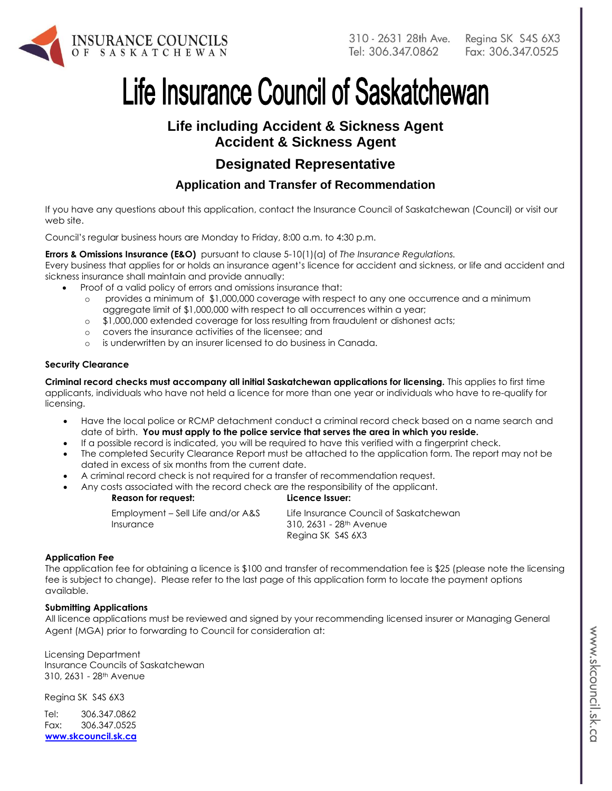

Regina SK S4S 6X3 Fax: 306.347.0525

# Life Insurance Council of Saskatchewan

# **Life including Accident & Sickness Agent Accident & Sickness Agent**

# **Designated Representative**

# **Application and Transfer of Recommendation**

If you have any questions about this application, contact the Insurance Council of Saskatchewan (Council) or visit our web site.

Council's regular business hours are Monday to Friday, 8:00 a.m. to 4:30 p.m.

**Errors & Omissions Insurance (E&O)** pursuant to clause 5-10(1)(a) of *The Insurance Regulations.*

Every business that applies for or holds an insurance agent's licence for accident and sickness, or life and accident and sickness insurance shall maintain and provide annually:

- Proof of a valid policy of errors and omissions insurance that:
	- o provides a minimum of \$1,000,000 coverage with respect to any one occurrence and a minimum aggregate limit of \$1,000,000 with respect to all occurrences within a year;
	- o \$1,000,000 extended coverage for loss resulting from fraudulent or dishonest acts;
	- o covers the insurance activities of the licensee; and
	- o is underwritten by an insurer licensed to do business in Canada.

#### **Security Clearance**

**Criminal record checks must accompany all initial Saskatchewan applications for licensing.** This applies to first time applicants, individuals who have not held a licence for more than one year or individuals who have to re-qualify for licensing.

- Have the local police or RCMP detachment conduct a criminal record check based on a name search and date of birth. **You must apply to the police service that serves the area in which you reside.**
- If a possible record is indicated, you will be required to have this verified with a fingerprint check.
- The completed Security Clearance Report must be attached to the application form. The report may not be dated in excess of six months from the current date.
- A criminal record check is not required for a transfer of recommendation request.
- Any costs associated with the record check are the responsibility of the applicant.

| <b>Reason for request:</b><br>Licence Issuer:                                                              |                                        |
|------------------------------------------------------------------------------------------------------------|----------------------------------------|
| Employment – Sell Life and/or A&S<br>310, 2631 - 28 <sup>th</sup> Avenue<br>Insurance<br>Regina SK S4S 6X3 | Life Insurance Council of Saskatchewan |

#### **Application Fee**

The application fee for obtaining a licence is \$100 and transfer of recommendation fee is \$25 (please note the licensing fee is subject to change). Please refer to the last page of this application form to locate the payment options available.

#### **Submitting Applications**

All licence applications must be reviewed and signed by your recommending licensed insurer or Managing General Agent (MGA) prior to forwarding to Council for consideration at:

Licensing Department Insurance Councils of Saskatchewan 310, 2631 - 28th Avenue

Regina SK S4S 6X3

Tel: 306.347.0862 Fax: 306.347.0525 **[www.skcouncil.sk.ca](http://www.skcouncil.sk.ca/)**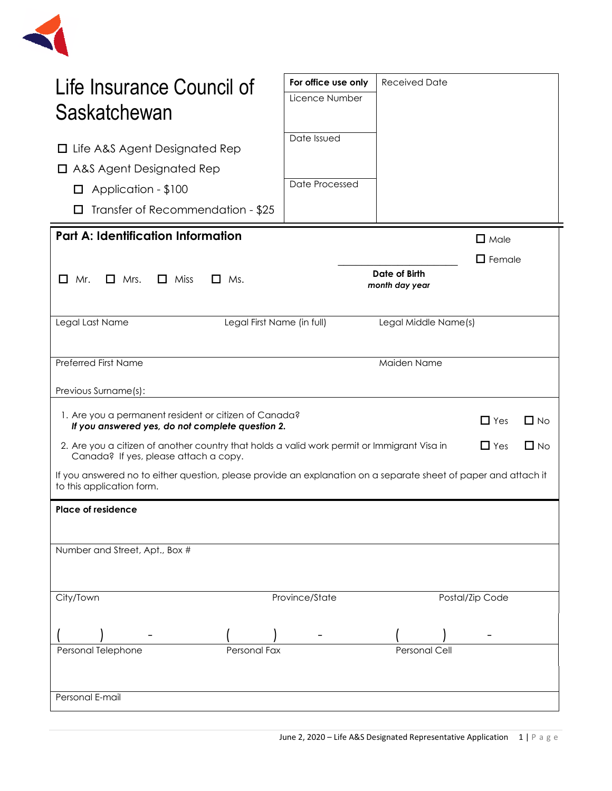

| Life Insurance Council of<br>Saskatchewan                                                                                                        | For office use only<br>Licence Number | <b>Received Date</b>            |                 |           |
|--------------------------------------------------------------------------------------------------------------------------------------------------|---------------------------------------|---------------------------------|-----------------|-----------|
| Life A&S Agent Designated Rep<br>ப<br>$\Box$ A&S Agent Designated Rep<br>Application - \$100<br>$\Box$<br>Transfer of Recommendation - \$25<br>U | Date Issued<br>Date Processed         |                                 |                 |           |
| <b>Part A: Identification Information</b>                                                                                                        |                                       |                                 | $\Box$ Male     |           |
| 0<br>Mr.<br>$\Box$ Mrs.<br>$\Box$ Miss<br>$\Box$ Ms.                                                                                             |                                       | Date of Birth<br>month day year | $\Box$ Female   |           |
| Legal First Name (in full)<br>Legal Last Name                                                                                                    |                                       | Legal Middle Name(s)            |                 |           |
| <b>Preferred First Name</b>                                                                                                                      |                                       | Maiden Name                     |                 |           |
| Previous Surname(s):                                                                                                                             |                                       |                                 |                 |           |
| 1. Are you a permanent resident or citizen of Canada?<br>If you answered yes, do not complete question 2.                                        |                                       |                                 | $\Box$ Yes      | $\Box$ No |
| 2. Are you a citizen of another country that holds a valid work permit or Immigrant Visa in<br>Canada? If yes, please attach a copy.             |                                       |                                 | $\Box$ Yes      | $\Box$ No |
| If you answered no to either question, please provide an explanation on a separate sheet of paper and attach it<br>to this application form.     |                                       |                                 |                 |           |
| <b>Place of residence</b>                                                                                                                        |                                       |                                 |                 |           |
| Number and Street, Apt., Box #                                                                                                                   |                                       |                                 |                 |           |
| City/Town                                                                                                                                        | Province/State                        |                                 | Postal/Zip Code |           |
| Personal Telephone<br>Personal Fax                                                                                                               |                                       | <b>Personal Cell</b>            |                 |           |
| Personal E-mail                                                                                                                                  |                                       |                                 |                 |           |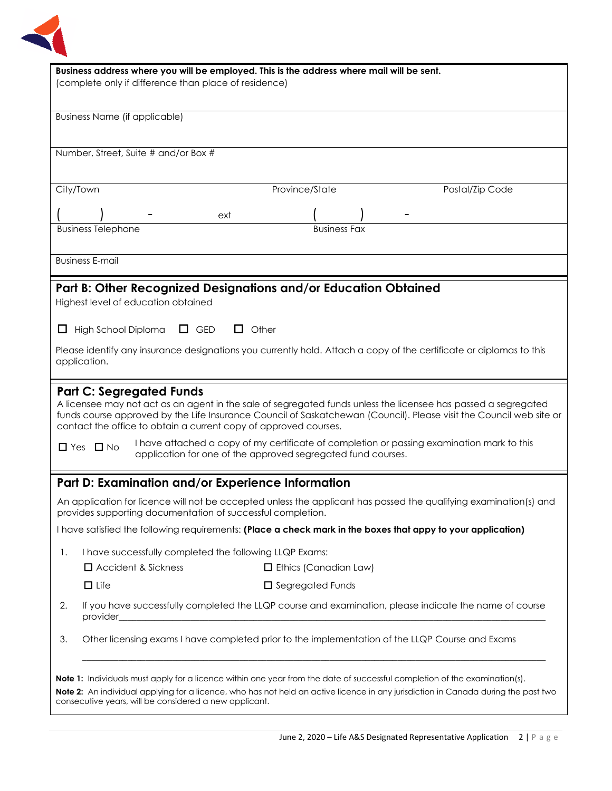

| Business address where you will be employed. This is the address where mail will be sent.                                                                                               |  |  |  |
|-----------------------------------------------------------------------------------------------------------------------------------------------------------------------------------------|--|--|--|
| (complete only if difference than place of residence)                                                                                                                                   |  |  |  |
|                                                                                                                                                                                         |  |  |  |
| <b>Business Name (if applicable)</b>                                                                                                                                                    |  |  |  |
|                                                                                                                                                                                         |  |  |  |
| Number, Street, Suite # and/or Box #                                                                                                                                                    |  |  |  |
|                                                                                                                                                                                         |  |  |  |
| City/Town<br>Province/State<br>Postal/Zip Code                                                                                                                                          |  |  |  |
| ext                                                                                                                                                                                     |  |  |  |
| <b>Business Telephone</b><br><b>Business Fax</b>                                                                                                                                        |  |  |  |
|                                                                                                                                                                                         |  |  |  |
| <b>Business E-mail</b>                                                                                                                                                                  |  |  |  |
| Part B: Other Recognized Designations and/or Education Obtained                                                                                                                         |  |  |  |
| Highest level of education obtained                                                                                                                                                     |  |  |  |
|                                                                                                                                                                                         |  |  |  |
| $\Box$ Other<br>High School Diploma<br>$\Box$ GED<br>ப                                                                                                                                  |  |  |  |
| Please identify any insurance designations you currently hold. Attach a copy of the certificate or diplomas to this                                                                     |  |  |  |
| application.                                                                                                                                                                            |  |  |  |
| <b>Part C: Segregated Funds</b>                                                                                                                                                         |  |  |  |
| A licensee may not act as an agent in the sale of segregated funds unless the licensee has passed a segregated                                                                          |  |  |  |
| funds course approved by the Life Insurance Council of Saskatchewan (Council). Please visit the Council web site or<br>contact the office to obtain a current copy of approved courses. |  |  |  |
| I have attached a copy of my certificate of completion or passing examination mark to this                                                                                              |  |  |  |
| $\Box$ Yes $\Box$ No<br>application for one of the approved segregated fund courses.                                                                                                    |  |  |  |
|                                                                                                                                                                                         |  |  |  |
| Part D: Examination and/or Experience Information                                                                                                                                       |  |  |  |
| An application for licence will not be accepted unless the applicant has passed the qualifying examination(s) and<br>provides supporting documentation of successful completion.        |  |  |  |
| I have satisfied the following requirements: (Place a check mark in the boxes that appy to your application)                                                                            |  |  |  |
| I have successfully completed the following LLQP Exams:<br>1.                                                                                                                           |  |  |  |
| $\Box$ Accident & Sickness<br>$\Box$ Ethics (Canadian Law)                                                                                                                              |  |  |  |
| $\Box$ Life<br>$\Box$ Segregated Funds                                                                                                                                                  |  |  |  |
| If you have successfully completed the LLQP course and examination, please indicate the name of course<br>2.                                                                            |  |  |  |
| provider                                                                                                                                                                                |  |  |  |
| Other licensing exams I have completed prior to the implementation of the LLQP Course and Exams<br>3.                                                                                   |  |  |  |
|                                                                                                                                                                                         |  |  |  |
| <b>Note 1:</b> Individuals must apply for a licence within one year from the date of successful completion of the examination(s).                                                       |  |  |  |
| Note 2: An individual applying for a licence, who has not held an active licence in any jurisdiction in Canada during the past two                                                      |  |  |  |
| consecutive years, will be considered a new applicant.                                                                                                                                  |  |  |  |
|                                                                                                                                                                                         |  |  |  |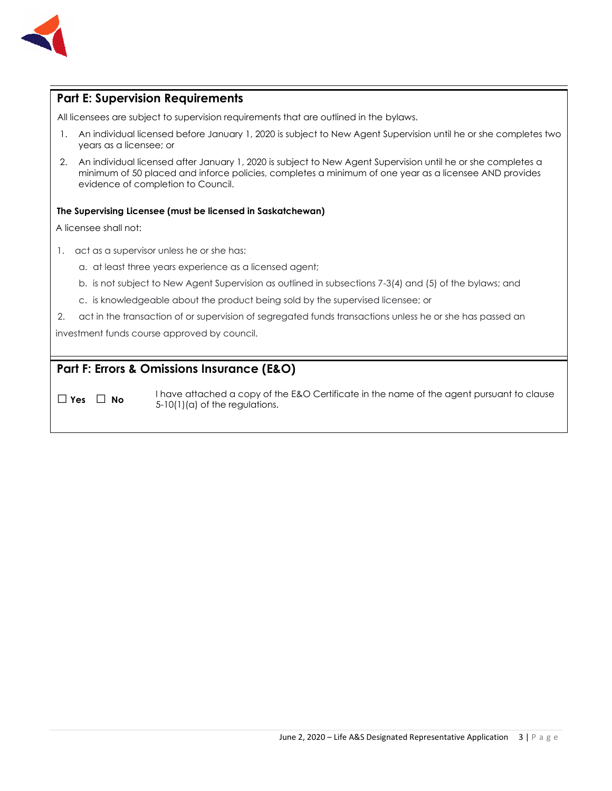

## **Part E: Supervision Requirements**

All licensees are subject to supervision requirements that are outlined in the bylaws.

- 1. An individual licensed before January 1, 2020 is subject to New Agent Supervision until he or she completes two years as a licensee; or
- 2. An individual licensed after January 1, 2020 is subject to New Agent Supervision until he or she completes a minimum of 50 placed and inforce policies, completes a minimum of one year as a licensee AND provides evidence of completion to Council.

#### **The Supervising Licensee (must be licensed in Saskatchewan)**

A licensee shall not:

- 1. act as a supervisor unless he or she has:
	- a. at least three years experience as a licensed agent;
	- b. is not subject to New Agent Supervision as outlined in subsections 7-3(4) and (5) of the bylaws; and
	- c. is knowledgeable about the product being sold by the supervised licensee; or
- 2. act in the transaction of or supervision of segregated funds transactions unless he or she has passed an

investment funds course approved by council.

## **Part F: Errors & Omissions Insurance (E&O)**

□ **Yes** □ **No** I have attached a copy of the E&O Certificate in the name of the agent pursuant to clause 5-10(1)(a) of the regulations.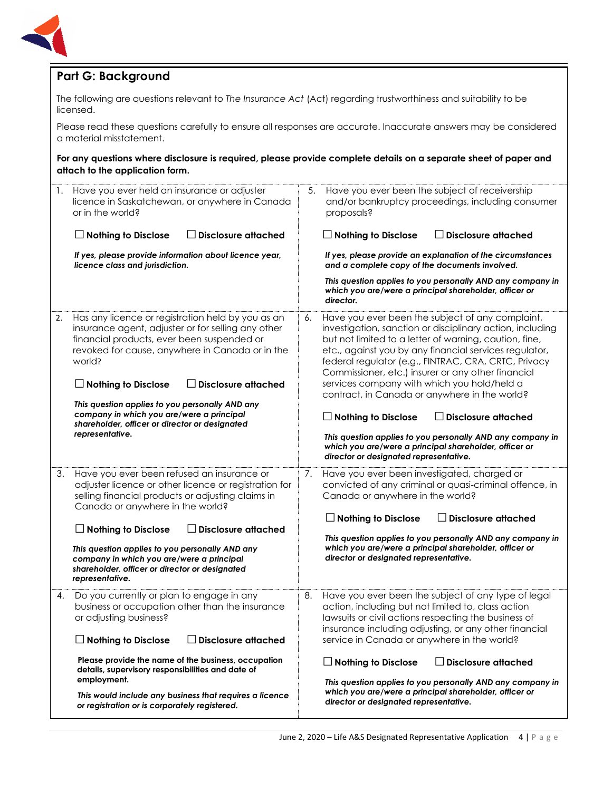

# **Part G: Background**

The following are questions relevant to *The Insurance Act* (Act) regarding trustworthiness and suitability to be licensed.

Please read these questions carefully to ensure all responses are accurate. Inaccurate answers may be considered a material misstatement.

**For any questions where disclosure is required, please provide complete details on a separate sheet of paper and attach to the application form.**

| Have you ever held an insurance or adjuster                                                                                                                                                                                                                                                                                                                                                                                                               | Have you ever been the subject of receivership                                                                                                                                                                                                                                                                                                                                                                                                                                                                                                                                                                                                                                       |  |  |
|-----------------------------------------------------------------------------------------------------------------------------------------------------------------------------------------------------------------------------------------------------------------------------------------------------------------------------------------------------------------------------------------------------------------------------------------------------------|--------------------------------------------------------------------------------------------------------------------------------------------------------------------------------------------------------------------------------------------------------------------------------------------------------------------------------------------------------------------------------------------------------------------------------------------------------------------------------------------------------------------------------------------------------------------------------------------------------------------------------------------------------------------------------------|--|--|
| 1.                                                                                                                                                                                                                                                                                                                                                                                                                                                        | 5.                                                                                                                                                                                                                                                                                                                                                                                                                                                                                                                                                                                                                                                                                   |  |  |
| licence in Saskatchewan, or anywhere in Canada                                                                                                                                                                                                                                                                                                                                                                                                            | and/or bankruptcy proceedings, including consumer                                                                                                                                                                                                                                                                                                                                                                                                                                                                                                                                                                                                                                    |  |  |
| or in the world?                                                                                                                                                                                                                                                                                                                                                                                                                                          | proposals?                                                                                                                                                                                                                                                                                                                                                                                                                                                                                                                                                                                                                                                                           |  |  |
| $\Box$ Nothing to Disclose                                                                                                                                                                                                                                                                                                                                                                                                                                |                                                                                                                                                                                                                                                                                                                                                                                                                                                                                                                                                                                                                                                                                      |  |  |
| <b>Disclosure attached</b>                                                                                                                                                                                                                                                                                                                                                                                                                                | $\lrcorner$ Disclosure attached                                                                                                                                                                                                                                                                                                                                                                                                                                                                                                                                                                                                                                                      |  |  |
| If yes, please provide information about licence year,                                                                                                                                                                                                                                                                                                                                                                                                    | If yes, please provide an explanation of the circumstances                                                                                                                                                                                                                                                                                                                                                                                                                                                                                                                                                                                                                           |  |  |
| licence class and jurisdiction.                                                                                                                                                                                                                                                                                                                                                                                                                           | and a complete copy of the documents involved.                                                                                                                                                                                                                                                                                                                                                                                                                                                                                                                                                                                                                                       |  |  |
|                                                                                                                                                                                                                                                                                                                                                                                                                                                           | This question applies to you personally AND any company in<br>which you are/were a principal shareholder, officer or<br>director.                                                                                                                                                                                                                                                                                                                                                                                                                                                                                                                                                    |  |  |
| Has any licence or registration held by you as an<br>2.<br>insurance agent, adjuster or for selling any other<br>financial products, ever been suspended or<br>revoked for cause, anywhere in Canada or in the<br>world?<br>$\Box$ Disclosure attached<br>$\Box$ Nothing to Disclose<br>This question applies to you personally AND any<br>company in which you are/were a principal<br>shareholder, officer or director or designated<br>representative. | Have you ever been the subject of any complaint,<br>6.<br>investigation, sanction or disciplinary action, including<br>but not limited to a letter of warning, caution, fine,<br>etc., against you by any financial services regulator,<br>federal regulator (e.g., FINTRAC, CRA, CRTC, Privacy<br>Commissioner, etc.) insurer or any other financial<br>services company with which you hold/held a<br>contract, in Canada or anywhere in the world?<br>$\perp$ Nothing to Disclose<br>$\Box$ Disclosure attached<br>This question applies to you personally AND any company in<br>which you are/were a principal shareholder, officer or<br>director or designated representative. |  |  |
| 3.<br>Have you ever been refused an insurance or<br>adjuster licence or other licence or registration for<br>selling financial products or adjusting claims in<br>Canada or anywhere in the world?<br>$\Box$ Nothing to Disclose<br><b>Disclosure attached</b><br>This question applies to you personally AND any<br>company in which you are/were a principal<br>shareholder, officer or director or designated<br>representative.                       | Have you ever been investigated, charged or<br>7.<br>convicted of any criminal or quasi-criminal offence, in<br>Canada or anywhere in the world?<br>$\Box$ Disclosure attached<br>$\Box$ Nothing to Disclose<br>This question applies to you personally AND any company in<br>which you are/were a principal shareholder, officer or<br>director or designated representative.                                                                                                                                                                                                                                                                                                       |  |  |
| Do you currently or plan to engage in any                                                                                                                                                                                                                                                                                                                                                                                                                 | 8.                                                                                                                                                                                                                                                                                                                                                                                                                                                                                                                                                                                                                                                                                   |  |  |
| 4.                                                                                                                                                                                                                                                                                                                                                                                                                                                        | Have you ever been the subject of any type of legal                                                                                                                                                                                                                                                                                                                                                                                                                                                                                                                                                                                                                                  |  |  |
| business or occupation other than the insurance                                                                                                                                                                                                                                                                                                                                                                                                           | action, including but not limited to, class action                                                                                                                                                                                                                                                                                                                                                                                                                                                                                                                                                                                                                                   |  |  |
| or adjusting business?                                                                                                                                                                                                                                                                                                                                                                                                                                    | lawsuits or civil actions respecting the business of                                                                                                                                                                                                                                                                                                                                                                                                                                                                                                                                                                                                                                 |  |  |
| <b>Disclosure attached</b>                                                                                                                                                                                                                                                                                                                                                                                                                                | insurance including adjusting, or any other financial                                                                                                                                                                                                                                                                                                                                                                                                                                                                                                                                                                                                                                |  |  |
| $\Box$ Nothing to Disclose                                                                                                                                                                                                                                                                                                                                                                                                                                | service in Canada or anywhere in the world?                                                                                                                                                                                                                                                                                                                                                                                                                                                                                                                                                                                                                                          |  |  |
| Please provide the name of the business, occupation                                                                                                                                                                                                                                                                                                                                                                                                       | $\Box$ Nothing to Disclose                                                                                                                                                                                                                                                                                                                                                                                                                                                                                                                                                                                                                                                           |  |  |
| details, supervisory responsibilities and date of                                                                                                                                                                                                                                                                                                                                                                                                         | $\Box$ Disclosure attached                                                                                                                                                                                                                                                                                                                                                                                                                                                                                                                                                                                                                                                           |  |  |
| employment.                                                                                                                                                                                                                                                                                                                                                                                                                                               | This question applies to you personally AND any company in                                                                                                                                                                                                                                                                                                                                                                                                                                                                                                                                                                                                                           |  |  |
| This would include any business that requires a licence                                                                                                                                                                                                                                                                                                                                                                                                   | which you are/were a principal shareholder, officer or                                                                                                                                                                                                                                                                                                                                                                                                                                                                                                                                                                                                                               |  |  |
| or registration or is corporately registered.                                                                                                                                                                                                                                                                                                                                                                                                             | director or designated representative.                                                                                                                                                                                                                                                                                                                                                                                                                                                                                                                                                                                                                                               |  |  |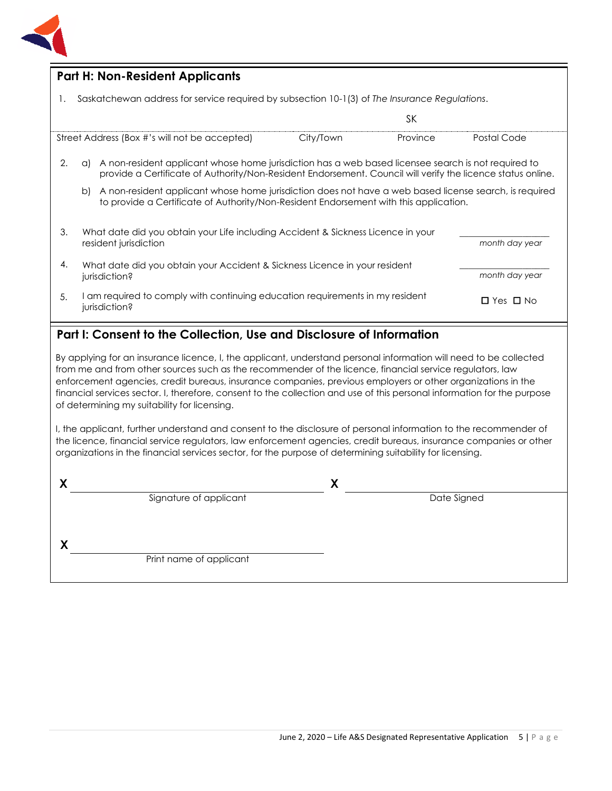

### **Part H: Non-Resident Applicants**

1. Saskatchewan address for service required by subsection 10-1(3) of *The Insurance Regulations*.

|                                                                                                                 |                                                                                             |                                                                                                                                                                                                                    |           | SΚ       |                |
|-----------------------------------------------------------------------------------------------------------------|---------------------------------------------------------------------------------------------|--------------------------------------------------------------------------------------------------------------------------------------------------------------------------------------------------------------------|-----------|----------|----------------|
| Street Address (Box #'s will not be accepted)                                                                   |                                                                                             |                                                                                                                                                                                                                    | City/Town | Province | Postal Code    |
| 2.                                                                                                              | a)                                                                                          | A non-resident applicant whose home jurisdiction has a web based licensee search is not required to<br>provide a Certificate of Authority/Non-Resident Endorsement. Council will verify the licence status online. |           |          |                |
|                                                                                                                 | b)                                                                                          | A non-resident applicant whose home jurisdiction does not have a web based license search, is required<br>to provide a Certificate of Authority/Non-Resident Endorsement with this application.                    |           |          |                |
| 3.<br>What date did you obtain your Life including Accident & Sickness Licence in your<br>resident jurisdiction |                                                                                             |                                                                                                                                                                                                                    |           |          |                |
|                                                                                                                 |                                                                                             |                                                                                                                                                                                                                    |           |          | month day year |
| 4.                                                                                                              | What date did you obtain your Accident & Sickness Licence in your resident<br>jurisdiction? |                                                                                                                                                                                                                    |           |          | month day year |
| I am required to comply with continuing education requirements in my resident<br>5.<br>jurisdiction?            |                                                                                             | $\Box$ Yes $\Box$ No                                                                                                                                                                                               |           |          |                |

## **Part I: Consent to the Collection, Use and Disclosure of Information**

By applying for an insurance licence, I, the applicant, understand personal information will need to be collected from me and from other sources such as the recommender of the licence, financial service regulators, law enforcement agencies, credit bureaus, insurance companies, previous employers or other organizations in the financial services sector. I, therefore, consent to the collection and use of this personal information for the purpose of determining my suitability for licensing.

I, the applicant, further understand and consent to the disclosure of personal information to the recommender of the licence, financial service regulators, law enforcement agencies, credit bureaus, insurance companies or other organizations in the financial services sector, for the purpose of determining suitability for licensing.

| Signature of applicant  | Date Signed |
|-------------------------|-------------|
|                         |             |
|                         |             |
| Print name of applicant |             |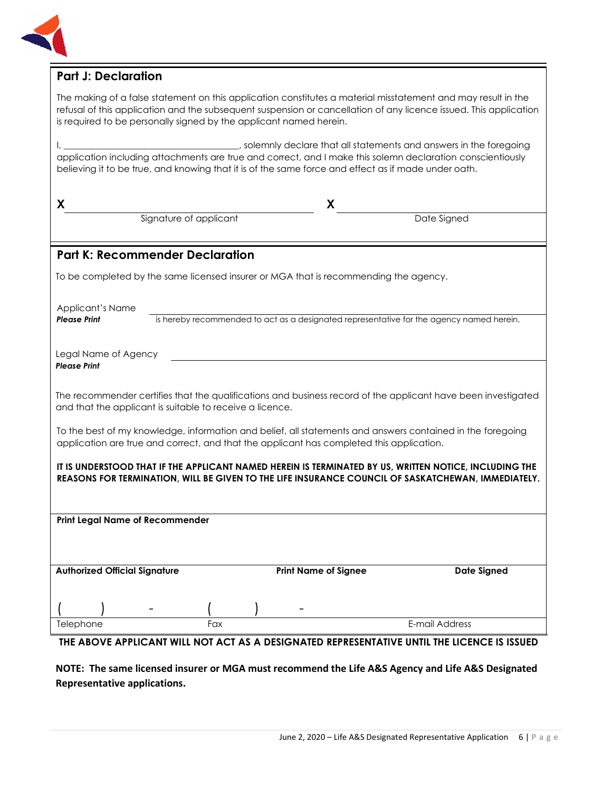

## **Part J: Declaration**

The making of a false statement on this application constitutes a material misstatement and may result in the refusal of this application and the subsequent suspension or cancellation of any licence issued. This application is required to be personally signed by the applicant named herein.

I, \_\_\_\_\_\_\_\_\_\_\_\_\_\_\_\_\_\_\_\_\_\_\_\_\_\_\_\_\_\_\_\_\_\_\_\_\_\_\_, solemnly declare that all statements and answers in the foregoing application including attachments are true and correct, and I make this solemn declaration conscientiously believing it to be true, and knowing that it is of the same force and effect as if made under oath.

| X                                                                                                                                                                                                            |                                        | X                                                                                    |                                                                                             |
|--------------------------------------------------------------------------------------------------------------------------------------------------------------------------------------------------------------|----------------------------------------|--------------------------------------------------------------------------------------|---------------------------------------------------------------------------------------------|
|                                                                                                                                                                                                              | Signature of applicant                 |                                                                                      | Date Signed                                                                                 |
|                                                                                                                                                                                                              | <b>Part K: Recommender Declaration</b> |                                                                                      |                                                                                             |
|                                                                                                                                                                                                              |                                        | To be completed by the same licensed insurer or MGA that is recommending the agency. |                                                                                             |
| Applicant's Name                                                                                                                                                                                             |                                        |                                                                                      |                                                                                             |
| <b>Please Print</b>                                                                                                                                                                                          |                                        |                                                                                      | is hereby recommended to act as a designated representative for the agency named herein.    |
| Legal Name of Agency<br><b>Please Print</b>                                                                                                                                                                  |                                        |                                                                                      |                                                                                             |
| The recommender certifies that the qualifications and business record of the applicant have been investigated<br>and that the applicant is suitable to receive a licence.                                    |                                        |                                                                                      |                                                                                             |
| To the best of my knowledge, information and belief, all statements and answers contained in the foregoing<br>application are true and correct, and that the applicant has completed this application.       |                                        |                                                                                      |                                                                                             |
| IT IS UNDERSTOOD THAT IF THE APPLICANT NAMED HEREIN IS TERMINATED BY US, WRITTEN NOTICE, INCLUDING THE<br>REASONS FOR TERMINATION, WILL BE GIVEN TO THE LIFE INSURANCE COUNCIL OF SASKATCHEWAN, IMMEDIATELY. |                                        |                                                                                      |                                                                                             |
|                                                                                                                                                                                                              |                                        |                                                                                      |                                                                                             |
| <b>Print Legal Name of Recommender</b>                                                                                                                                                                       |                                        |                                                                                      |                                                                                             |
|                                                                                                                                                                                                              |                                        |                                                                                      |                                                                                             |
| <b>Authorized Official Signature</b>                                                                                                                                                                         |                                        | <b>Print Name of Signee</b>                                                          | <b>Date Signed</b>                                                                          |
|                                                                                                                                                                                                              |                                        |                                                                                      |                                                                                             |
| Telephone                                                                                                                                                                                                    | Fax                                    |                                                                                      | E-mail Address                                                                              |
|                                                                                                                                                                                                              |                                        |                                                                                      | THE ABOVE APPLICANT WILL NOT ACT AS A DESIGNATED REPRESENTATIVE UNTIL THE LICENCE IS ISSUED |

**NOTE: The same licensed insurer or MGA must recommend the Life A&S Agency and Life A&S Designated Representative applications.**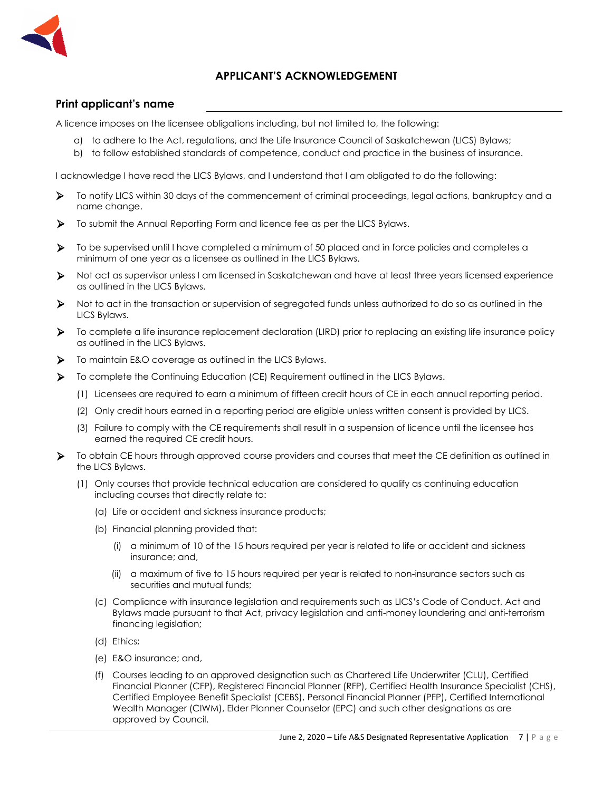

### **APPLICANT'S ACKNOWLEDGEMENT**

#### **Print applicant's name**

A licence imposes on the licensee obligations including, but not limited to, the following:

- a) to adhere to the Act, regulations, and the Life Insurance Council of Saskatchewan (LICS) Bylaws;
- b) to follow established standards of competence, conduct and practice in the business of insurance.

I acknowledge I have read the LICS Bylaws, and I understand that I am obligated to do the following:

- ➢ To notify LICS within 30 days of the commencement of criminal proceedings, legal actions, bankruptcy and a name change.
- ➢ To submit the Annual Reporting Form and licence fee as per the LICS Bylaws.
- ➢ To be supervised until I have completed a minimum of 50 placed and in force policies and completes a minimum of one year as a licensee as outlined in the LICS Bylaws.
- ➢ Not act as supervisor unless I am licensed in Saskatchewan and have at least three years licensed experience as outlined in the LICS Bylaws.
- ➢ Not to act in the transaction or supervision of segregated funds unless authorized to do so as outlined in the LICS Bylaws.
- ➢ To complete a life insurance replacement declaration (LIRD) prior to replacing an existing life insurance policy as outlined in the LICS Bylaws.
- ➢ To maintain E&O coverage as outlined in the LICS Bylaws.
- ➢ To complete the Continuing Education (CE) Requirement outlined in the LICS Bylaws.
	- (1) Licensees are required to earn a minimum of fifteen credit hours of CE in each annual reporting period.
	- (2) Only credit hours earned in a reporting period are eligible unless written consent is provided by LICS.
	- (3) Failure to comply with the CE requirements shall result in a suspension of licence until the licensee has earned the required CE credit hours.
- ➢ To obtain CE hours through approved course providers and courses that meet the CE definition as outlined in the LICS Bylaws.
	- (1) Only courses that provide technical education are considered to qualify as continuing education including courses that directly relate to:
		- (a) Life or accident and sickness insurance products;
		- (b) Financial planning provided that:
			- (i) a minimum of 10 of the 15 hours required per year is related to life or accident and sickness insurance; and,
			- (ii) a maximum of five to 15 hours required per year is related to non-insurance sectors such as securities and mutual funds;
		- (c) Compliance with insurance legislation and requirements such as LICS's Code of Conduct, Act and Bylaws made pursuant to that Act, privacy legislation and anti-money laundering and anti-terrorism financing legislation;
		- (d) Ethics;
		- (e) E&O insurance; and,
		- (f) Courses leading to an approved designation such as Chartered Life Underwriter (CLU), Certified Financial Planner (CFP), Registered Financial Planner (RFP), Certified Health Insurance Specialist (CHS), Certified Employee Benefit Specialist (CEBS), Personal Financial Planner (PFP), Certified International Wealth Manager (CIWM), Elder Planner Counselor (EPC) and such other designations as are approved by Council.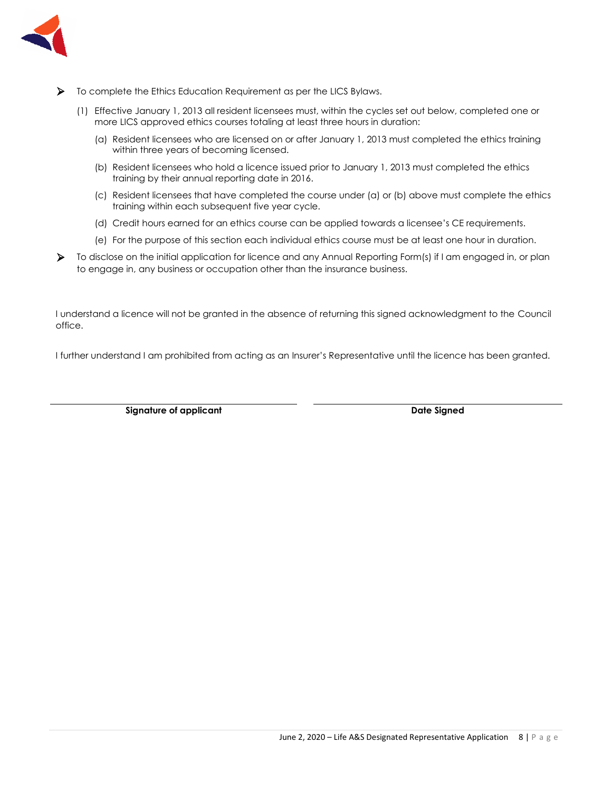

- ➢ To complete the Ethics Education Requirement as per the LICS Bylaws.
	- (1) Effective January 1, 2013 all resident licensees must, within the cycles set out below, completed one or more LICS approved ethics courses totaling at least three hours in duration:
		- (a) Resident licensees who are licensed on or after January 1, 2013 must completed the ethics training within three years of becoming licensed.
		- (b) Resident licensees who hold a licence issued prior to January 1, 2013 must completed the ethics training by their annual reporting date in 2016.
		- (c) Resident licensees that have completed the course under (a) or (b) above must complete the ethics training within each subsequent five year cycle.
		- (d) Credit hours earned for an ethics course can be applied towards a licensee's CE requirements.
		- (e) For the purpose of this section each individual ethics course must be at least one hour in duration.
- ➢ To disclose on the initial application for licence and any Annual Reporting Form(s) if I am engaged in, or plan to engage in, any business or occupation other than the insurance business.

I understand a licence will not be granted in the absence of returning this signed acknowledgment to the Council office.

I further understand I am prohibited from acting as an Insurer's Representative until the licence has been granted.

**Signature of applicant Date Signed**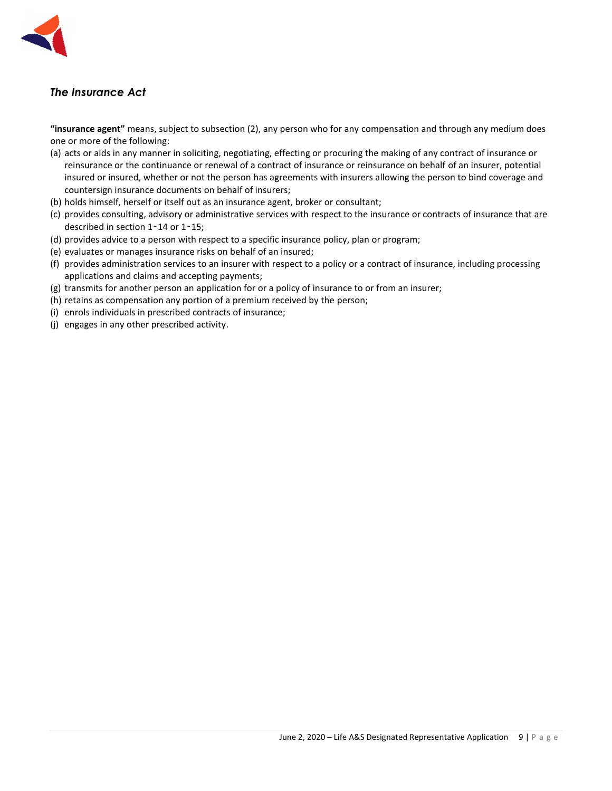

# *The Insurance Act*

**"insurance agent"** means, subject to subsection (2), any person who for any compensation and through any medium does one or more of the following:

- (a) acts or aids in any manner in soliciting, negotiating, effecting or procuring the making of any contract of insurance or reinsurance or the continuance or renewal of a contract of insurance or reinsurance on behalf of an insurer, potential insured or insured, whether or not the person has agreements with insurers allowing the person to bind coverage and countersign insurance documents on behalf of insurers;
- (b) holds himself, herself or itself out as an insurance agent, broker or consultant;
- (c) provides consulting, advisory or administrative services with respect to the insurance or contracts of insurance that are described in section 1-14 or 1-15;
- (d) provides advice to a person with respect to a specific insurance policy, plan or program;
- (e) evaluates or manages insurance risks on behalf of an insured;
- (f) provides administration services to an insurer with respect to a policy or a contract of insurance, including processing applications and claims and accepting payments;
- (g) transmits for another person an application for or a policy of insurance to or from an insurer;
- (h) retains as compensation any portion of a premium received by the person;
- (i) enrols individuals in prescribed contracts of insurance;
- (j) engages in any other prescribed activity.